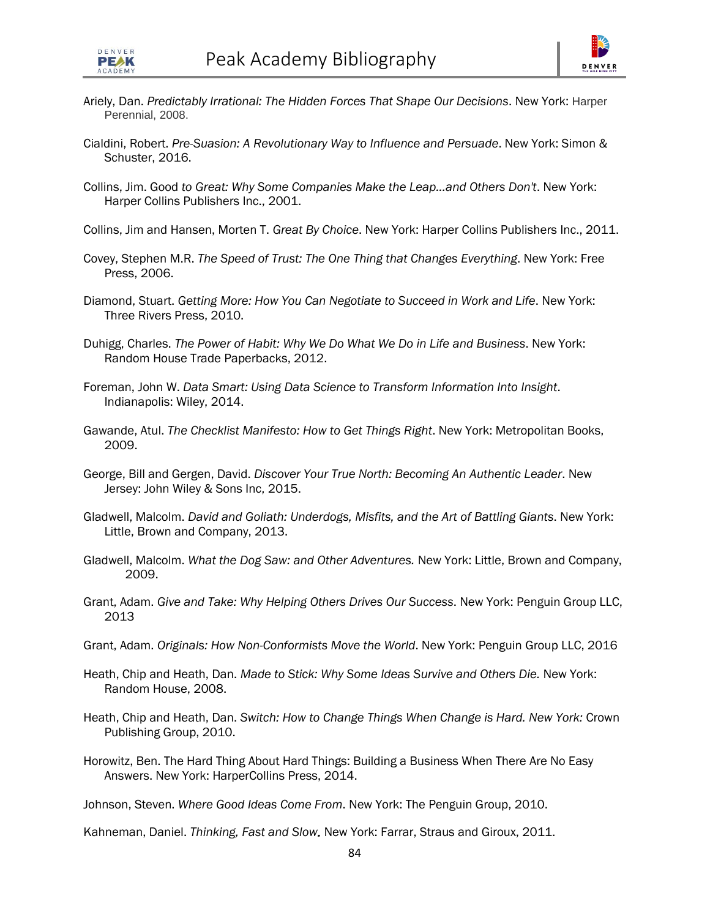

- Ariely, Dan. *Predictably Irrational: The Hidden Forces That Shape Our Decisions*. New York: Harper Perennial, 2008.
- Cialdini, Robert. *Pre-Suasion: A Revolutionary Way to Influence and Persuade*. New York: Simon & Schuster, 2016.
- Collins, Jim. Good *to Great: Why Some Companies Make the Leap...and Others Don't*. New York: Harper Collins Publishers Inc., 2001.

Collins, Jim and Hansen, Morten T. *Great By Choice*. New York: Harper Collins Publishers Inc., 2011.

- Covey, Stephen M.R. *The Speed of Trust: The One Thing that Changes Everything*. New York: Free Press, 2006.
- Diamond, Stuart. *Getting More: How You Can Negotiate to Succeed in Work and Life*. New York: Three Rivers Press, 2010.
- Duhigg, Charles. *The Power of Habit: Why We Do What We Do in Life and Business*. New York: Random House Trade Paperbacks, 2012.
- Foreman, John W. *Data Smart: Using Data Science to Transform Information Into Insight*. Indianapolis: Wiley, 2014.
- Gawande, Atul. *The Checklist Manifesto: How to Get Things Right*. New York: Metropolitan Books, 2009.
- George, Bill and Gergen, David. *Discover Your True North: Becoming An Authentic Leader*. New Jersey: John Wiley & Sons Inc, 2015.
- Gladwell, Malcolm. *David and Goliath: Underdogs, Misfits, and the Art of Battling Giants*. New York: Little, Brown and Company, 2013.
- Gladwell, Malcolm. *What the Dog Saw: and Other Adventures.* New York: Little, Brown and Company, 2009.
- Grant, Adam. *Give and Take: Why Helping Others Drives Our Success*. New York: Penguin Group LLC, 2013
- Grant, Adam. *Originals: How Non-Conformists Move the World*. New York: Penguin Group LLC, 2016
- Heath, Chip and Heath, Dan. Made to Stick: Why Some Ideas Survive and Others Die. New York: Random House, 2008.
- Heath, Chip and Heath, Dan. *Switch: How to Change Things When Change is Hard. New York:* Crown Publishing Group, 2010.
- Horowitz, Ben. The Hard Thing About Hard Things: Building a Business When There Are No Easy Answers. New York: HarperCollins Press, 2014.

Johnson, Steven. *Where Good Ideas Come From*. New York: The Penguin Group, 2010.

Kahneman, Daniel. *Thinking, Fast and Slow.* New York: Farrar, Straus and Giroux, 2011.